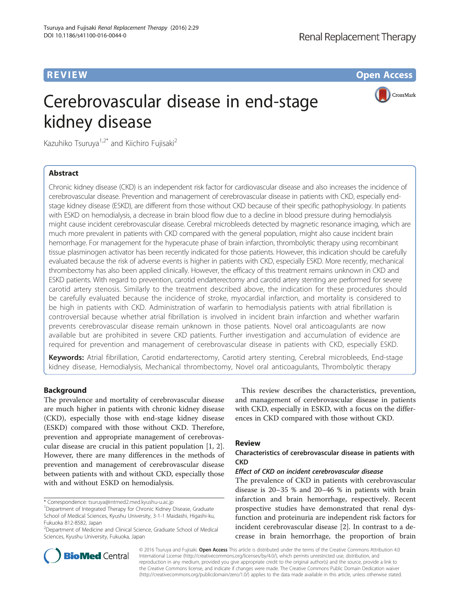**REVIEW CONSTRUCTION CONSTRUCTION CONSTRUCTS** 

CrossMark

# Cerebrovascular disease in end-stage kidney disease

Kazuhiko Tsuruya<sup>1,2\*</sup> and Kiichiro Fujisaki<sup>2</sup>

# Abstract

Chronic kidney disease (CKD) is an independent risk factor for cardiovascular disease and also increases the incidence of cerebrovascular disease. Prevention and management of cerebrovascular disease in patients with CKD, especially endstage kidney disease (ESKD), are different from those without CKD because of their specific pathophysiology. In patients with ESKD on hemodialysis, a decrease in brain blood flow due to a decline in blood pressure during hemodialysis might cause incident cerebrovascular disease. Cerebral microbleeds detected by magnetic resonance imaging, which are much more prevalent in patients with CKD compared with the general population, might also cause incident brain hemorrhage. For management for the hyperacute phase of brain infarction, thrombolytic therapy using recombinant tissue plasminogen activator has been recently indicated for those patients. However, this indication should be carefully evaluated because the risk of adverse events is higher in patients with CKD, especially ESKD. More recently, mechanical thrombectomy has also been applied clinically. However, the efficacy of this treatment remains unknown in CKD and ESKD patients. With regard to prevention, carotid endarterectomy and carotid artery stenting are performed for severe carotid artery stenosis. Similarly to the treatment described above, the indication for these procedures should be carefully evaluated because the incidence of stroke, myocardial infarction, and mortality is considered to be high in patients with CKD. Administration of warfarin to hemodialysis patients with atrial fibrillation is controversial because whether atrial fibrillation is involved in incident brain infarction and whether warfarin prevents cerebrovascular disease remain unknown in those patients. Novel oral anticoagulants are now available but are prohibited in severe CKD patients. Further investigation and accumulation of evidence are required for prevention and management of cerebrovascular disease in patients with CKD, especially ESKD.

Keywords: Atrial fibrillation, Carotid endarterectomy, Carotid artery stenting, Cerebral microbleeds, End-stage kidney disease, Hemodialysis, Mechanical thrombectomy, Novel oral anticoagulants, Thrombolytic therapy

## Background

The prevalence and mortality of cerebrovascular disease are much higher in patients with chronic kidney disease (CKD), especially those with end-stage kidney disease (ESKD) compared with those without CKD. Therefore, prevention and appropriate management of cerebrovascular disease are crucial in this patient population [\[1, 2](#page-5-0)]. However, there are many differences in the methods of prevention and management of cerebrovascular disease between patients with and without CKD, especially those with and without ESKD on hemodialysis.

\* Correspondence: [tsuruya@intmed2.med.kyushu-u.ac.jp](mailto:tsuruya@intmed2.med.kyushu-u.ac.jp) <sup>1</sup>

<sup>2</sup> Department of Medicine and Clinical Science, Graduate School of Medical Sciences, Kyushu University, Fukuoka, Japan

This review describes the characteristics, prevention, and management of cerebrovascular disease in patients with CKD, especially in ESKD, with a focus on the differences in CKD compared with those without CKD.

#### Review

## Characteristics of cerebrovascular disease in patients with **CKD**

#### Effect of CKD on incident cerebrovascular disease

The prevalence of CKD in patients with cerebrovascular disease is 20–35 % and 20–46 % in patients with brain infarction and brain hemorrhage, respectively. Recent prospective studies have demonstrated that renal dysfunction and proteinuria are independent risk factors for incident cerebrovascular disease [[2\]](#page-5-0). In contrast to a decrease in brain hemorrhage, the proportion of brain



© 2016 Tsuruya and Fujisaki. Open Access This article is distributed under the terms of the Creative Commons Attribution 4.0 International License [\(http://creativecommons.org/licenses/by/4.0/](http://creativecommons.org/licenses/by/4.0/)), which permits unrestricted use, distribution, and reproduction in any medium, provided you give appropriate credit to the original author(s) and the source, provide a link to the Creative Commons license, and indicate if changes were made. The Creative Commons Public Domain Dedication waiver [\(http://creativecommons.org/publicdomain/zero/1.0/](http://creativecommons.org/publicdomain/zero/1.0/)) applies to the data made available in this article, unless otherwise stated.

<sup>&</sup>lt;sup>1</sup>Department of Integrated Therapy for Chronic Kidney Disease, Graduate School of Medical Sciences, Kyushu University, 3-1-1 Maidashi, Higashi-ku, Fukuoka 812-8582, Japan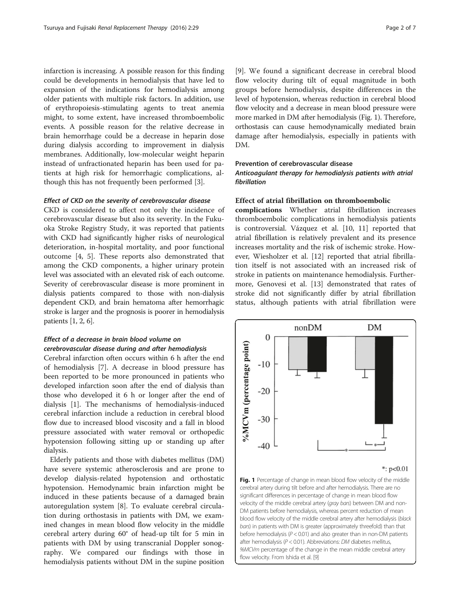infarction is increasing. A possible reason for this finding could be developments in hemodialysis that have led to expansion of the indications for hemodialysis among older patients with multiple risk factors. In addition, use of erythropoiesis-stimulating agents to treat anemia might, to some extent, have increased thromboembolic events. A possible reason for the relative decrease in brain hemorrhage could be a decrease in heparin dose during dialysis according to improvement in dialysis membranes. Additionally, low-molecular weight heparin instead of unfractionated heparin has been used for patients at high risk for hemorrhagic complications, although this has not frequently been performed [\[3\]](#page-5-0).

#### Effect of CKD on the severity of cerebrovascular disease

CKD is considered to affect not only the incidence of cerebrovascular disease but also its severity. In the Fukuoka Stroke Registry Study, it was reported that patients with CKD had significantly higher risks of neurological deterioration, in-hospital mortality, and poor functional outcome [[4, 5\]](#page-5-0). These reports also demonstrated that among the CKD components, a higher urinary protein level was associated with an elevated risk of each outcome. Severity of cerebrovascular disease is more prominent in dialysis patients compared to those with non-dialysis dependent CKD, and brain hematoma after hemorrhagic stroke is larger and the prognosis is poorer in hemodialysis patients [\[1](#page-5-0), [2, 6\]](#page-5-0).

# Effect of a decrease in brain blood volume on cerebrovascular disease during and after hemodialysis

Cerebral infarction often occurs within 6 h after the end of hemodialysis [\[7](#page-5-0)]. A decrease in blood pressure has been reported to be more pronounced in patients who developed infarction soon after the end of dialysis than those who developed it 6 h or longer after the end of dialysis [[1\]](#page-5-0). The mechanisms of hemodialysis-induced cerebral infarction include a reduction in cerebral blood flow due to increased blood viscosity and a fall in blood pressure associated with water removal or orthopedic hypotension following sitting up or standing up after dialysis.

Elderly patients and those with diabetes mellitus (DM) have severe systemic atherosclerosis and are prone to develop dialysis-related hypotension and orthostatic hypotension. Hemodynamic brain infarction might be induced in these patients because of a damaged brain autoregulation system [\[8](#page-5-0)]. To evaluate cerebral circulation during orthostasis in patients with DM, we examined changes in mean blood flow velocity in the middle cerebral artery during 60° of head-up tilt for 5 min in patients with DM by using transcranial Doppler sonography. We compared our findings with those in hemodialysis patients without DM in the supine position

[[9\]](#page-5-0). We found a significant decrease in cerebral blood flow velocity during tilt of equal magnitude in both groups before hemodialysis, despite differences in the level of hypotension, whereas reduction in cerebral blood flow velocity and a decrease in mean blood pressure were more marked in DM after hemodialysis (Fig. 1). Therefore, orthostasis can cause hemodynamically mediated brain damage after hemodialysis, especially in patients with DM.

# Prevention of cerebrovascular disease

## Anticoagulant therapy for hemodialysis patients with atrial fibrillation

#### Effect of atrial fibrillation on thromboembolic

complications Whether atrial fibrillation increases thromboembolic complications in hemodialysis patients is controversial. Vázquez et al. [[10, 11\]](#page-5-0) reported that atrial fibrillation is relatively prevalent and its presence increases mortality and the risk of ischemic stroke. However, Wiesholzer et al. [[12](#page-5-0)] reported that atrial fibrillation itself is not associated with an increased risk of stroke in patients on maintenance hemodialysis. Furthermore, Genovesi et al. [[13\]](#page-5-0) demonstrated that rates of stroke did not significantly differ by atrial fibrillation status, although patients with atrial fibrillation were



Fig. 1 Percentage of change in mean blood flow velocity of the middle cerebral artery during tilt before and after hemodialysis. There are no significant differences in percentage of change in mean blood flow velocity of the middle cerebral artery (gray bars) between DM and non-DM patients before hemodialysis, whereas percent reduction of mean blood flow velocity of the middle cerebral artery after hemodialysis (black bars) in patients with DM is greater (approximately threefold) than that before hemodialysis ( $P < 0.01$ ) and also greater than in non-DM patients after hemodialysis ( $P < 0.01$ ). Abbreviations: DM diabetes mellitus, %MCVm percentage of the change in the mean middle cerebral artery flow velocity. From Ishida et al. [\[9](#page-5-0)]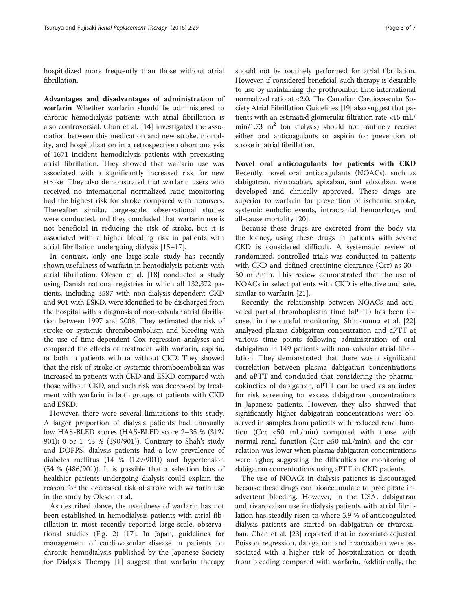hospitalized more frequently than those without atrial fibrillation.

Advantages and disadvantages of administration of warfarin Whether warfarin should be administered to chronic hemodialysis patients with atrial fibrillation is also controversial. Chan et al. [[14](#page-5-0)] investigated the association between this medication and new stroke, mortality, and hospitalization in a retrospective cohort analysis of 1671 incident hemodialysis patients with preexisting atrial fibrillation. They showed that warfarin use was associated with a significantly increased risk for new stroke. They also demonstrated that warfarin users who received no international normalized ratio monitoring had the highest risk for stroke compared with nonusers. Thereafter, similar, large-scale, observational studies were conducted, and they concluded that warfarin use is not beneficial in reducing the risk of stroke, but it is associated with a higher bleeding risk in patients with atrial fibrillation undergoing dialysis [[15](#page-5-0)–[17](#page-5-0)].

In contrast, only one large-scale study has recently shown usefulness of warfarin in hemodialysis patients with atrial fibrillation. Olesen et al. [\[18\]](#page-5-0) conducted a study using Danish national registries in which all 132,372 patients, including 3587 with non-dialysis-dependent CKD and 901 with ESKD, were identified to be discharged from the hospital with a diagnosis of non-valvular atrial fibrillation between 1997 and 2008. They estimated the risk of stroke or systemic thromboembolism and bleeding with the use of time-dependent Cox regression analyses and compared the effects of treatment with warfarin, aspirin, or both in patients with or without CKD. They showed that the risk of stroke or systemic thromboembolism was increased in patients with CKD and ESKD compared with those without CKD, and such risk was decreased by treatment with warfarin in both groups of patients with CKD and ESKD.

However, there were several limitations to this study. A larger proportion of dialysis patients had unusually low HAS-BLED scores (HAS-BLED score 2–35 % (312/ 901); 0 or 1–43 % (390/901)). Contrary to Shah's study and DOPPS, dialysis patients had a low prevalence of diabetes mellitus (14 % (129/901)) and hypertension (54 % (486/901)). It is possible that a selection bias of healthier patients undergoing dialysis could explain the reason for the decreased risk of stroke with warfarin use in the study by Olesen et al.

As described above, the usefulness of warfarin has not been established in hemodialysis patients with atrial fibrillation in most recently reported large-scale, observational studies (Fig. [2](#page-3-0)) [\[17](#page-5-0)]. In Japan, guidelines for management of cardiovascular disease in patients on chronic hemodialysis published by the Japanese Society for Dialysis Therapy [[1\]](#page-5-0) suggest that warfarin therapy

should not be routinely performed for atrial fibrillation. However, if considered beneficial, such therapy is desirable to use by maintaining the prothrombin time-international normalized ratio at <2.0. The Canadian Cardiovascular Society Atrial Fibrillation Guidelines [\[19\]](#page-5-0) also suggest that patients with an estimated glomerular filtration rate <15 mL/  $min/1.73$  m<sup>2</sup> (on dialysis) should not routinely receive either oral anticoagulants or aspirin for prevention of stroke in atrial fibrillation.

Novel oral anticoagulants for patients with CKD Recently, novel oral anticoagulants (NOACs), such as dabigatran, rivaroxaban, apixaban, and edoxaban, were developed and clinically approved. These drugs are superior to warfarin for prevention of ischemic stroke, systemic embolic events, intracranial hemorrhage, and all-cause mortality [\[20](#page-6-0)].

Because these drugs are excreted from the body via the kidney, using these drugs in patients with severe CKD is considered difficult. A systematic review of randomized, controlled trials was conducted in patients with CKD and defined creatinine clearance (Ccr) as 30– 50 mL/min. This review demonstrated that the use of NOACs in select patients with CKD is effective and safe, similar to warfarin [[21](#page-6-0)].

Recently, the relationship between NOACs and activated partial thromboplastin time (aPTT) has been focused in the careful monitoring. Shimomura et al. [[22](#page-6-0)] analyzed plasma dabigatran concentration and aPTT at various time points following administration of oral dabigatran in 149 patients with non-valvular atrial fibrillation. They demonstrated that there was a significant correlation between plasma dabigatran concentrations and aPTT and concluded that considering the pharmacokinetics of dabigatran, aPTT can be used as an index for risk screening for excess dabigatran concentrations in Japanese patients. However, they also showed that significantly higher dabigatran concentrations were observed in samples from patients with reduced renal function (Ccr <50 mL/min) compared with those with normal renal function (Ccr ≥50 mL/min), and the correlation was lower when plasma dabigatran concentrations were higher, suggesting the difficulties for monitoring of dabigatran concentrations using aPTT in CKD patients.

The use of NOACs in dialysis patients is discouraged because these drugs can bioaccumulate to precipitate inadvertent bleeding. However, in the USA, dabigatran and rivaroxaban use in dialysis patients with atrial fibrillation has steadily risen to where 5.9 % of anticoagulated dialysis patients are started on dabigatran or rivaroxaban. Chan et al. [[23\]](#page-6-0) reported that in covariate-adjusted Poisson regression, dabigatran and rivaroxaban were associated with a higher risk of hospitalization or death from bleeding compared with warfarin. Additionally, the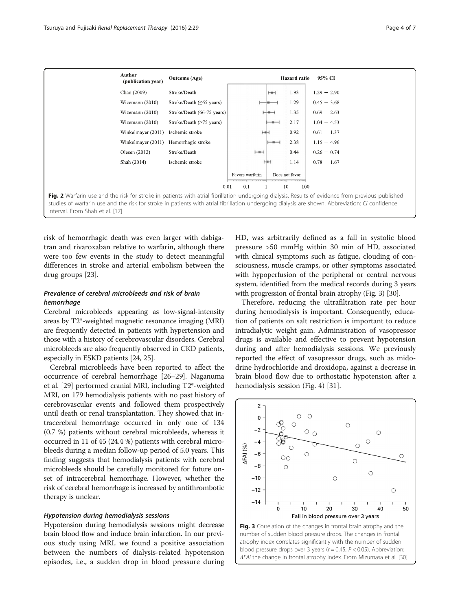<span id="page-3-0"></span>

risk of hemorrhagic death was even larger with dabigatran and rivaroxaban relative to warfarin, although there were too few events in the study to detect meaningful differences in stroke and arterial embolism between the drug groups [\[23](#page-6-0)].

## Prevalence of cerebral microbleeds and risk of brain hemorrhage

Cerebral microbleeds appearing as low-signal-intensity areas by T2\*-weighted magnetic resonance imaging (MRI) are frequently detected in patients with hypertension and those with a history of cerebrovascular disorders. Cerebral microbleeds are also frequently observed in CKD patients, especially in ESKD patients [\[24](#page-6-0), [25](#page-6-0)].

Cerebral microbleeds have been reported to affect the occurrence of cerebral hemorrhage [[26](#page-6-0)–[29\]](#page-6-0). Naganuma et al. [\[29\]](#page-6-0) performed cranial MRI, including T2\*-weighted MRI, on 179 hemodialysis patients with no past history of cerebrovascular events and followed them prospectively until death or renal transplantation. They showed that intracerebral hemorrhage occurred in only one of 134 (0.7 %) patients without cerebral microbleeds, whereas it occurred in 11 of 45 (24.4 %) patients with cerebral microbleeds during a median follow-up period of 5.0 years. This finding suggests that hemodialysis patients with cerebral microbleeds should be carefully monitored for future onset of intracerebral hemorrhage. However, whether the risk of cerebral hemorrhage is increased by antithrombotic therapy is unclear.

#### Hypotension during hemodialysis sessions

Hypotension during hemodialysis sessions might decrease brain blood flow and induce brain infarction. In our previous study using MRI, we found a positive association between the numbers of dialysis-related hypotension episodes, i.e., a sudden drop in blood pressure during

HD, was arbitrarily defined as a fall in systolic blood pressure >50 mmHg within 30 min of HD, associated with clinical symptoms such as fatigue, clouding of consciousness, muscle cramps, or other symptoms associated with hypoperfusion of the peripheral or central nervous system, identified from the medical records during 3 years with progression of frontal brain atrophy (Fig. 3) [[30](#page-6-0)].

Therefore, reducing the ultrafiltration rate per hour during hemodialysis is important. Consequently, education of patients on salt restriction is important to reduce intradialytic weight gain. Administration of vasopressor drugs is available and effective to prevent hypotension during and after hemodialysis sessions. We previously reported the effect of vasopressor drugs, such as midodrine hydrochloride and droxidopa, against a decrease in brain blood flow due to orthostatic hypotension after a hemodialysis session (Fig. [4](#page-4-0)) [[31](#page-6-0)].



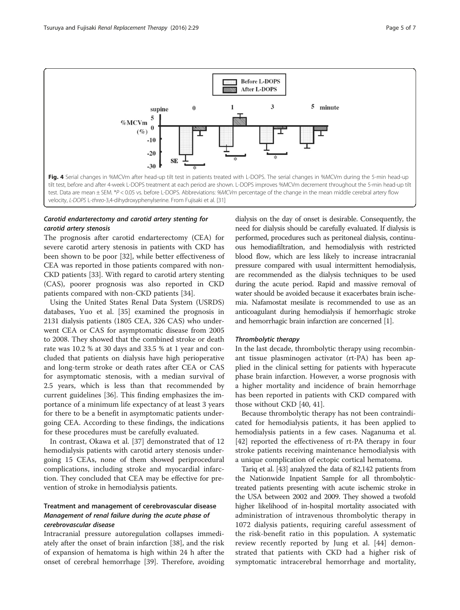<span id="page-4-0"></span>

## Carotid endarterectomy and carotid artery stenting for carotid artery stenosis

The prognosis after carotid endarterectomy (CEA) for severe carotid artery stenosis in patients with CKD has been shown to be poor [\[32](#page-6-0)], while better effectiveness of CEA was reported in those patients compared with non-CKD patients [\[33\]](#page-6-0). With regard to carotid artery stenting (CAS), poorer prognosis was also reported in CKD patients compared with non-CKD patients [\[34](#page-6-0)].

Using the United States Renal Data System (USRDS) databases, Yuo et al. [[35\]](#page-6-0) examined the prognosis in 2131 dialysis patients (1805 CEA, 326 CAS) who underwent CEA or CAS for asymptomatic disease from 2005 to 2008. They showed that the combined stroke or death rate was 10.2 % at 30 days and 33.5 % at 1 year and concluded that patients on dialysis have high perioperative and long-term stroke or death rates after CEA or CAS for asymptomatic stenosis, with a median survival of 2.5 years, which is less than that recommended by current guidelines [[36\]](#page-6-0). This finding emphasizes the importance of a minimum life expectancy of at least 3 years for there to be a benefit in asymptomatic patients undergoing CEA. According to these findings, the indications for these procedures must be carefully evaluated.

In contrast, Okawa et al. [[37\]](#page-6-0) demonstrated that of 12 hemodialysis patients with carotid artery stenosis undergoing 15 CEAs, none of them showed periprocedural complications, including stroke and myocardial infarction. They concluded that CEA may be effective for prevention of stroke in hemodialysis patients.

# Treatment and management of cerebrovascular disease Management of renal failure during the acute phase of cerebrovascular disease

Intracranial pressure autoregulation collapses immediately after the onset of brain infarction [\[38\]](#page-6-0), and the risk of expansion of hematoma is high within 24 h after the onset of cerebral hemorrhage [[39](#page-6-0)]. Therefore, avoiding

dialysis on the day of onset is desirable. Consequently, the need for dialysis should be carefully evaluated. If dialysis is performed, procedures such as peritoneal dialysis, continuous hemodiafiltration, and hemodialysis with restricted blood flow, which are less likely to increase intracranial pressure compared with usual intermittent hemodialysis, are recommended as the dialysis techniques to be used during the acute period. Rapid and massive removal of water should be avoided because it exacerbates brain ischemia. Nafamostat mesilate is recommended to use as an anticoagulant during hemodialysis if hemorrhagic stroke and hemorrhagic brain infarction are concerned [\[1\]](#page-5-0).

#### Thrombolytic therapy

In the last decade, thrombolytic therapy using recombinant tissue plasminogen activator (rt-PA) has been applied in the clinical setting for patients with hyperacute phase brain infarction. However, a worse prognosis with a higher mortality and incidence of brain hemorrhage has been reported in patients with CKD compared with those without CKD [\[40](#page-6-0), [41](#page-6-0)].

Because thrombolytic therapy has not been contraindicated for hemodialysis patients, it has been applied to hemodialysis patients in a few cases. Naganuma et al. [[42\]](#page-6-0) reported the effectiveness of rt-PA therapy in four stroke patients receiving maintenance hemodialysis with a unique complication of ectopic cortical hematoma.

Tariq et al. [[43](#page-6-0)] analyzed the data of 82,142 patients from the Nationwide Inpatient Sample for all thrombolytictreated patients presenting with acute ischemic stroke in the USA between 2002 and 2009. They showed a twofold higher likelihood of in-hospital mortality associated with administration of intravenous thrombolytic therapy in 1072 dialysis patients, requiring careful assessment of the risk-benefit ratio in this population. A systematic review recently reported by Jung et al. [[44\]](#page-6-0) demonstrated that patients with CKD had a higher risk of symptomatic intracerebral hemorrhage and mortality,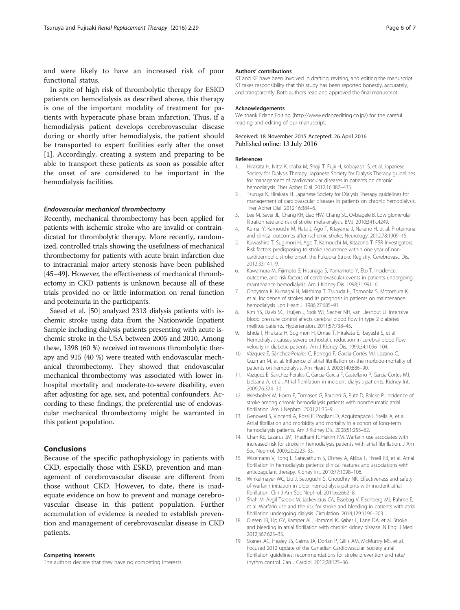<span id="page-5-0"></span>and were likely to have an increased risk of poor functional status.

In spite of high risk of thrombolytic therapy for ESKD patients on hemodialysis as described above, this therapy is one of the important modality of treatment for patients with hyperacute phase brain infarction. Thus, if a hemodialysis patient develops cerebrovascular disease during or shortly after hemodialysis, the patient should be transported to expert facilities early after the onset [1]. Accordingly, creating a system and preparing to be able to transport these patients as soon as possible after the onset of are considered to be important in the hemodialysis facilities.

#### Endovascular mechanical thrombectomy

Recently, mechanical thrombectomy has been applied for patients with ischemic stroke who are invalid or contraindicated for thrombolytic therapy. More recently, randomized, controlled trials showing the usefulness of mechanical thrombectomy for patients with acute brain infarction due to intracranial major artery stenosis have been published [[45](#page-6-0)–[49\]](#page-6-0). However, the effectiveness of mechanical thrombectomy in CKD patients is unknown because all of these trials provided no or little information on renal function and proteinuria in the participants.

Saeed et al. [\[50\]](#page-6-0) analyzed 2313 dialysis patients with ischemic stroke using data from the Nationwide Inpatient Sample including dialysis patients presenting with acute ischemic stroke in the USA between 2005 and 2010. Among these, 1398 (60 %) received intravenous thrombolytic therapy and 915 (40 %) were treated with endovascular mechanical thrombectomy. They showed that endovascular mechanical thrombectomy was associated with lower inhospital mortality and moderate-to-severe disability, even after adjusting for age, sex, and potential confounders. According to these findings, the preferential use of endovascular mechanical thrombectomy might be warranted in this patient population.

#### Conclusions

Because of the specific pathophysiology in patients with CKD, especially those with ESKD, prevention and management of cerebrovascular disease are different from those without CKD. However, to date, there is inadequate evidence on how to prevent and manage cerebrovascular disease in this patient population. Further accumulation of evidence is needed to establish prevention and management of cerebrovascular disease in CKD patients.

#### Competing interests

The authors declare that they have no competing interests.

#### Authors' contributions

KT and KF have been involved in drafting, revising, and editing the manuscript. KT takes responsibility that this study has been reported honestly, accurately, and transparently. Both authors read and approved the final manuscript.

#### Acknowledgements

We thank Edanz Editing (<http://www.edanzediting.co.jp/>) for the careful reading and editing of our manuscript.

#### Received: 18 November 2015 Accepted: 26 April 2016 Published online: 13 July 2016

#### References

- 1. Hirakata H, Nitta K, Inaba M, Shoji T, Fujii H, Kobayashi S, et al. Japanese Society for Dialysis Therapy. Japanese Society for Dialysis Therapy guidelines for management of cardiovascular diseases in patients on chronic hemodialysis. Ther Apher Dial. 2012;16:387–435.
- 2. Tsuruya K, Hirakata H. Japanese Society for Dialysis Therapy guidelines for management of cardiovascular diseases in patients on chronic hemodialysis. Ther Apher Dial. 2012;16:384–6.
- Lee M, Saver JL, Chang KH, Liao HW, Chang SC, Ovbiagele B. Low glomerular filtration rate and risk of stroke: meta-analysis. BMJ. 2010;341:c4249.
- 4. Kumai Y, Kamouchi M, Hata J, Ago T, Kitayama J, Nakane H, et al. Proteinuria and clinical outcomes after ischemic stroke. Neurology. 2012;78:1909–15.
- 5. Kuwashiro T, Sugimori H, Ago T, Kamouchi M, Kitazono T, FSR Investigators. Risk factors predisposing to stroke recurrence within one year of noncardioembolic stroke onset: the Fukuoka Stroke Registry. Cerebrovasc Dis. 2012;33:141–9.
- 6. Kawamura M, Fijimoto S, Hisanaga S, Yamamoto Y, Eto T. Incidence, outcome, and risk factors of cerebrovascular events in patients undergoing maintenance hemodialysis. Am J Kidney Dis. 1998;31:991–6.
- 7. Onoyama K, Kumagai H, Miishima T, Tsuruda H, Tomooka S, Motomura K, et al. Incidence of strokes and its prognosis in patients on maintenance hemodialysis. Jpn Heart J. 1986;27:685-91.
- 8. Kim YS, Davis SC, Truijen J, Stok WJ, Secher NH, van Lieshout JJ. Intensive blood pressure control affects cerebral blood flow in type 2 diabetes mellitus patients. Hypertension. 2011;57:738–45.
- 9. Ishida I, Hirakata H, Sugimori H, Omae T, Hirakata E, Ibayashi S, et al. Hemodialysis causes severe orthostatic reduction in cerebral blood flow velocity in diabetic patients. Am J Kidney Dis. 1999;34:1096–104.
- 10. Vázquez E, Sánchez-Perales C, Borrego F, Garcia-Cortés MJ, Lozano C, Guzmán M, et al. Influence of atrial fibrillation on the morbido-mortality of patients on hemodialysis. Am Heart J. 2000;140:886–90.
- 11. Vazquez E, Sanchez-Perales C, Garcia-Garcia F, Castellano P, Garcia-Cortes MJ, Liebana A, et al. Atrial fibrillation in incident dialysis patients. Kidney Int. 2009;76:324–30.
- 12. Wiesholzer M, Harm F, Tomasec G, Barbieri G, Putz D, Balcke P. Incidence of stroke among chronic hemodialysis patients with nonrheumatic atrial fibrillation. Am J Nephrol. 2001;21:35-9.
- 13. Genovesi S, Vincenti A, Rossi E, Pogliani D, Acquistapace I, Stella A, et al. Atrial fibrillation and morbidity and mortality in a cohort of long-term hemodialysis patients. Am J Kidney Dis. 2008;51:255–62.
- 14. Chan KE, Lazarus JM, Thadhani R, Hakim RM. Warfarin use associates with increased risk for stroke in hemodialysis patients with atrial fibrillation. J Am Soc Nephrol. 2009;20:2223–33.
- 15. Wizemann V, Tong L, Satayathum S, Disney A, Akiba T, Fissell RB, et al. Atrial fibrillation in hemodialysis patients: clinical features and associations with anticoagulant therapy. Kidney Int. 2010;77:1098–106.
- 16. Winkelmayer WC, Liu J, Setoguchi S, Choudhry NK. Effectiveness and safety of warfarin initiation in older hemodialysis patients with incident atrial fibrillation. Clin J Am Soc Nephrol. 2011;6:2662–8.
- 17. Shah M, Avgil Tsadok M, Jackevicius CA, Essebag V, Eisenberg MJ, Rahme E, et al. Warfarin use and the risk for stroke and bleeding in patients with atrial fibrillation undergoing dialysis. Circulation. 2014;129:1196–203.
- 18. Olesen JB, Lip GY, Kamper AL, Hommel K, Køber L, Lane DA, et al. Stroke and bleeding in atrial fibrillation with chronic kidney disease. N Engl J Med. 2012;367:625–35.
- 19. Skanes AC, Healey JS, Cairns JA, Dorian P, Gillis AM, McMurtry MS, et al. Focused 2012 update of the Canadian Cardiovascular Society atrial fibrillation guidelines: recommendations for stroke prevention and rate/ rhythm control. Can J Cardiol. 2012;28:125–36.